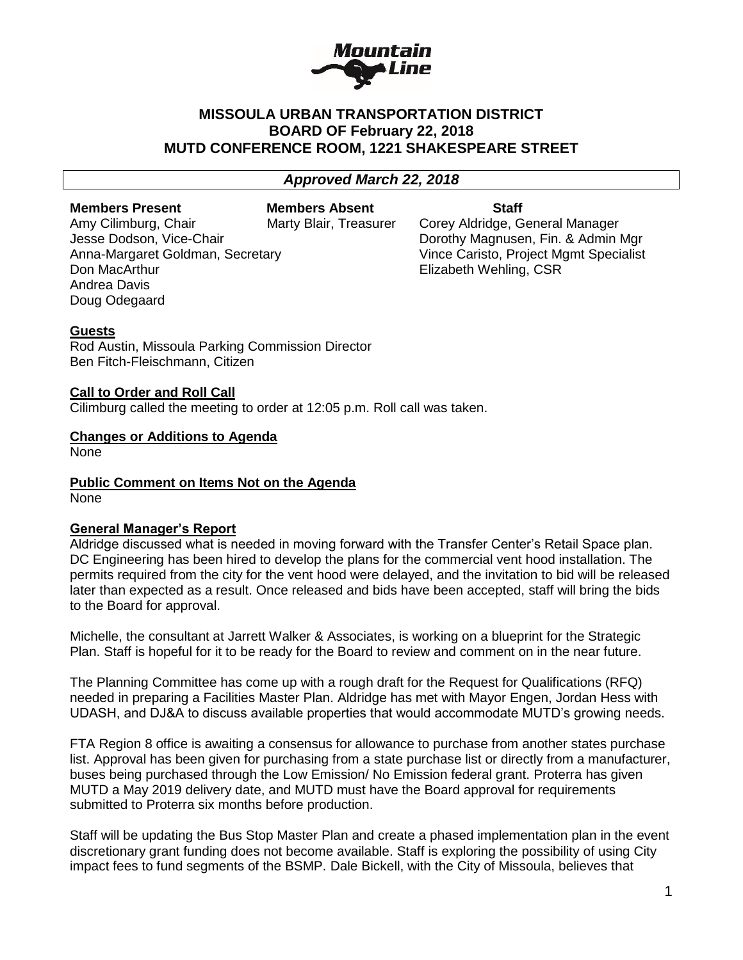

## **MISSOULA URBAN TRANSPORTATION DISTRICT BOARD OF February 22, 2018 MUTD CONFERENCE ROOM, 1221 SHAKESPEARE STREET**

## *Approved March 22, 2018*

**Members Present Members Absent Staff**

**Don MacArthur Elizabeth Wehling, CSR** Andrea Davis Doug Odegaard

Amy Cilimburg, Chair **Marty Blair, Treasurer** Corey Aldridge, General Manager Jesse Dodson, Vice-Chair **Domestian Constructs** Dorothy Magnusen, Fin. & Admin Mgr Anna-Margaret Goldman, Secretary Vince Caristo, Project Mgmt Specialist

## **Guests**

Rod Austin, Missoula Parking Commission Director Ben Fitch-Fleischmann, Citizen

### **Call to Order and Roll Call**

Cilimburg called the meeting to order at 12:05 p.m. Roll call was taken.

## **Changes or Additions to Agenda**

None

# **Public Comment on Items Not on the Agenda**

None

## **General Manager's Report**

Aldridge discussed what is needed in moving forward with the Transfer Center's Retail Space plan. DC Engineering has been hired to develop the plans for the commercial vent hood installation. The permits required from the city for the vent hood were delayed, and the invitation to bid will be released later than expected as a result. Once released and bids have been accepted, staff will bring the bids to the Board for approval.

Michelle, the consultant at Jarrett Walker & Associates, is working on a blueprint for the Strategic Plan. Staff is hopeful for it to be ready for the Board to review and comment on in the near future.

The Planning Committee has come up with a rough draft for the Request for Qualifications (RFQ) needed in preparing a Facilities Master Plan. Aldridge has met with Mayor Engen, Jordan Hess with UDASH, and DJ&A to discuss available properties that would accommodate MUTD's growing needs.

FTA Region 8 office is awaiting a consensus for allowance to purchase from another states purchase list. Approval has been given for purchasing from a state purchase list or directly from a manufacturer, buses being purchased through the Low Emission/ No Emission federal grant. Proterra has given MUTD a May 2019 delivery date, and MUTD must have the Board approval for requirements submitted to Proterra six months before production.

Staff will be updating the Bus Stop Master Plan and create a phased implementation plan in the event discretionary grant funding does not become available. Staff is exploring the possibility of using City impact fees to fund segments of the BSMP. Dale Bickell, with the City of Missoula, believes that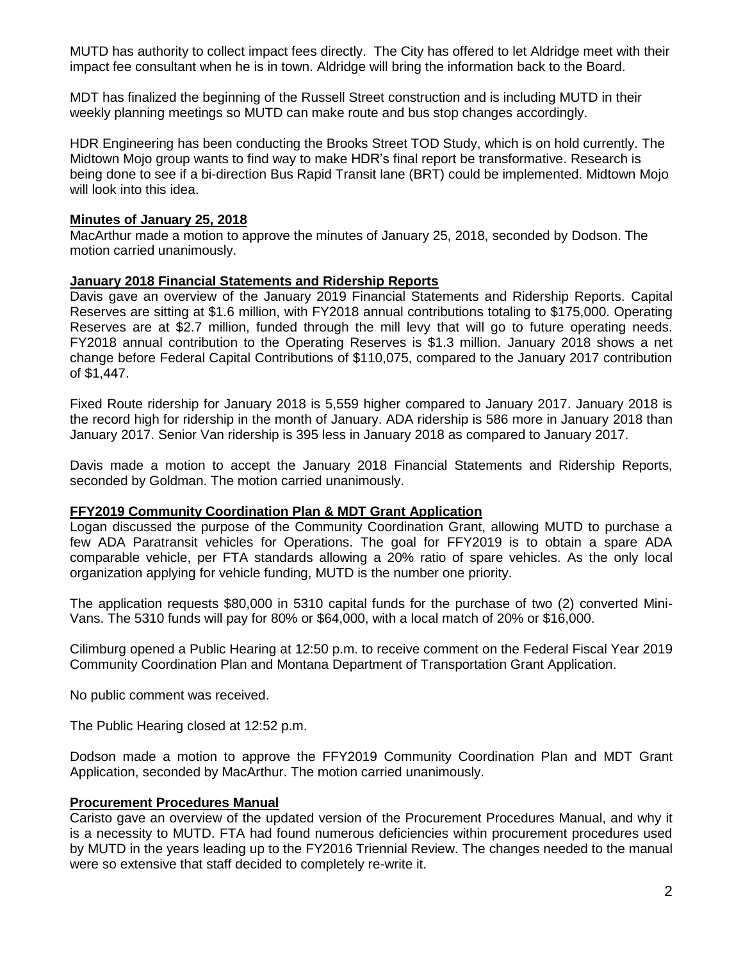MUTD has authority to collect impact fees directly. The City has offered to let Aldridge meet with their impact fee consultant when he is in town. Aldridge will bring the information back to the Board.

MDT has finalized the beginning of the Russell Street construction and is including MUTD in their weekly planning meetings so MUTD can make route and bus stop changes accordingly.

HDR Engineering has been conducting the Brooks Street TOD Study, which is on hold currently. The Midtown Mojo group wants to find way to make HDR's final report be transformative. Research is being done to see if a bi-direction Bus Rapid Transit lane (BRT) could be implemented. Midtown Mojo will look into this idea.

## **Minutes of January 25, 2018**

MacArthur made a motion to approve the minutes of January 25, 2018, seconded by Dodson. The motion carried unanimously.

## **January 2018 Financial Statements and Ridership Reports**

Davis gave an overview of the January 2019 Financial Statements and Ridership Reports. Capital Reserves are sitting at \$1.6 million, with FY2018 annual contributions totaling to \$175,000. Operating Reserves are at \$2.7 million, funded through the mill levy that will go to future operating needs. FY2018 annual contribution to the Operating Reserves is \$1.3 million. January 2018 shows a net change before Federal Capital Contributions of \$110,075, compared to the January 2017 contribution of \$1,447.

Fixed Route ridership for January 2018 is 5,559 higher compared to January 2017. January 2018 is the record high for ridership in the month of January. ADA ridership is 586 more in January 2018 than January 2017. Senior Van ridership is 395 less in January 2018 as compared to January 2017.

Davis made a motion to accept the January 2018 Financial Statements and Ridership Reports, seconded by Goldman. The motion carried unanimously.

### **FFY2019 Community Coordination Plan & MDT Grant Application**

Logan discussed the purpose of the Community Coordination Grant, allowing MUTD to purchase a few ADA Paratransit vehicles for Operations. The goal for FFY2019 is to obtain a spare ADA comparable vehicle, per FTA standards allowing a 20% ratio of spare vehicles. As the only local organization applying for vehicle funding, MUTD is the number one priority.

The application requests \$80,000 in 5310 capital funds for the purchase of two (2) converted Mini-Vans. The 5310 funds will pay for 80% or \$64,000, with a local match of 20% or \$16,000.

Cilimburg opened a Public Hearing at 12:50 p.m. to receive comment on the Federal Fiscal Year 2019 Community Coordination Plan and Montana Department of Transportation Grant Application.

No public comment was received.

The Public Hearing closed at 12:52 p.m.

Dodson made a motion to approve the FFY2019 Community Coordination Plan and MDT Grant Application, seconded by MacArthur. The motion carried unanimously.

### **Procurement Procedures Manual**

Caristo gave an overview of the updated version of the Procurement Procedures Manual, and why it is a necessity to MUTD. FTA had found numerous deficiencies within procurement procedures used by MUTD in the years leading up to the FY2016 Triennial Review. The changes needed to the manual were so extensive that staff decided to completely re-write it.